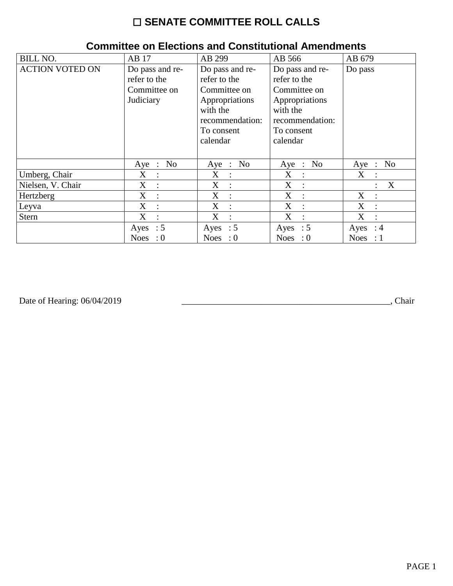# ☐ **SENATE COMMITTEE ROLL CALLS**

| <b>BILL NO.</b>        | AB 17                               | AB 299                              | AB 566                              | AB 679                             |
|------------------------|-------------------------------------|-------------------------------------|-------------------------------------|------------------------------------|
| <b>ACTION VOTED ON</b> | Do pass and re-                     | Do pass and re-                     | Do pass and re-                     | Do pass                            |
|                        | refer to the                        | refer to the                        | refer to the                        |                                    |
|                        | Committee on                        | Committee on                        | Committee on                        |                                    |
|                        | Judiciary                           | Appropriations                      | Appropriations                      |                                    |
|                        |                                     | with the                            | with the                            |                                    |
|                        |                                     | recommendation:                     | recommendation:                     |                                    |
|                        |                                     | To consent                          | To consent                          |                                    |
|                        |                                     | calendar                            | calendar                            |                                    |
|                        |                                     |                                     |                                     |                                    |
|                        | N <sub>o</sub><br>Aye :             | N <sub>o</sub><br>$Aye$ :           | Aye : No                            | N <sub>0</sub><br>Aye<br>$\cdot$ : |
| Umberg, Chair          | $X_{\mathcal{E}}$<br>$\mathbb{R}^2$ | $X_{\mathcal{I}}$<br>$\mathbb{R}^2$ | $X_{\mathcal{L}}$<br>$\sim 10$      | $X_{\mathcal{C}}$<br>$\mathbb{I}$  |
| Nielsen, V. Chair      | $X_{\mathcal{C}}$<br>$\cdot$ :      | X<br>$\mathbf{r}$                   | $X_{\mathcal{L}}$<br>$\mathbb{R}^2$ | X<br>$\ddot{\cdot}$                |
| Hertzberg              | X<br>$\ddot{\phantom{a}}$           | X<br>$\cdot$                        | X<br>$\cdot$                        | X<br>$\ddot{\phantom{a}}$          |
| Leyva                  | X<br>$\ddot{\phantom{a}}$           | X<br>$\ddot{\cdot}$                 | X                                   | X<br>$\bullet$                     |
| <b>Stern</b>           | X<br>$\ddot{\cdot}$                 | X<br>$\ddot{\cdot}$                 | X<br>$\ddot{\cdot}$                 | X<br>$\ddot{\cdot}$                |
|                        | Ayes : $5$                          | Ayes : $5$                          | Ayes : $5$                          | Ayes<br>$\therefore$ 4             |
|                        | <b>Noes</b><br>$\cdot 0$            | Noes : $0$                          | Noes : $0$                          | <b>Noes</b><br>$\therefore$ 1      |

### **Committee on Elections and Constitutional Amendments**

Date of Hearing: 06/04/2019

Date of Hearing: 06/04/2019 \_\_\_\_\_\_\_\_\_\_\_\_\_\_\_\_\_\_\_\_\_\_\_\_\_\_\_\_\_\_\_\_\_\_\_\_\_\_\_\_\_\_\_\_\_\_\_, Chair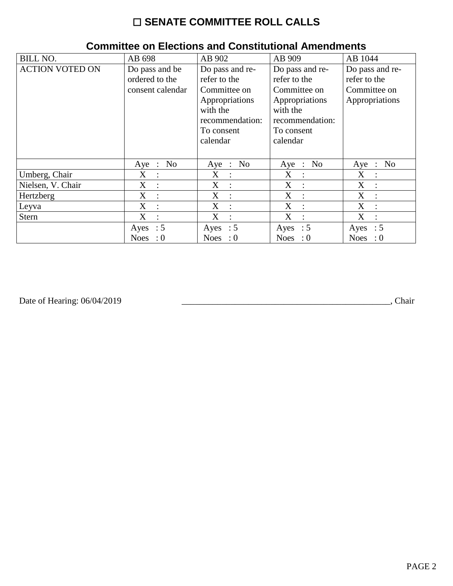# ☐ **SENATE COMMITTEE ROLL CALLS**

| <b>BILL NO.</b>        | AB 698                              | AB 902                    | AB 909           | AB 1044                                       |
|------------------------|-------------------------------------|---------------------------|------------------|-----------------------------------------------|
| <b>ACTION VOTED ON</b> | Do pass and be                      | Do pass and re-           | Do pass and re-  | Do pass and re-                               |
|                        | ordered to the                      | refer to the              | refer to the     | refer to the                                  |
|                        | consent calendar                    | Committee on              | Committee on     | Committee on                                  |
|                        |                                     | Appropriations            | Appropriations   | Appropriations                                |
|                        |                                     | with the                  | with the         |                                               |
|                        |                                     | recommendation:           | recommendation:  |                                               |
|                        |                                     | To consent                | To consent       |                                               |
|                        |                                     | calendar                  | calendar         |                                               |
|                        |                                     |                           |                  |                                               |
|                        | N <sub>0</sub><br>$Aye$ :           | N <sub>o</sub><br>$Aye$ : | Aye : No         | N <sub>0</sub><br>Aye<br>$\ddot{\phantom{a}}$ |
| Umberg, Chair          | $X_{\mathcal{C}}$<br>$\mathbb{R}^2$ | X<br>$\ddot{\cdot}$       | X<br>$\sim 10^7$ | X<br>$\ddot{\phantom{a}}$                     |
| Nielsen, V. Chair      | X<br>$\cdot$ :                      | X<br>$\ddot{\cdot}$       | X<br>$\cdot$ :   | X<br>$\ddot{\cdot}$                           |
| Hertzberg              | X<br>$\cdot$                        | X<br>$\ddot{\cdot}$       | X                | X<br>$\ddot{\cdot}$                           |
| Leyva                  | X<br>$\ddot{\cdot}$                 | X<br>$\ddot{\cdot}$       | X                | X                                             |
| <b>Stern</b>           | X<br>$\ddot{\cdot}$                 | X<br>$\ddot{\cdot}$       | X                | X                                             |
|                        | Ayes : $5$                          | Ayes : $5$                | Ayes : $5$       | $\therefore$ 5<br>Ayes                        |
|                        | $\therefore 0$<br><b>Noes</b>       | Noes : $0$                | Noes : $0$       | $\cdot 0$<br><b>Noes</b>                      |

### **Committee on Elections and Constitutional Amendments**

Date of Hearing: 06/04/2019

Date of Hearing: 06/04/2019 \_\_\_\_\_\_\_\_\_\_\_\_\_\_\_\_\_\_\_\_\_\_\_\_\_\_\_\_\_\_\_\_\_\_\_\_\_\_\_\_\_\_\_\_\_\_\_, Chair